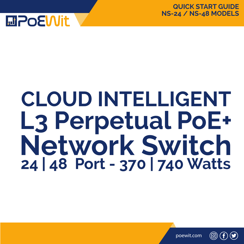



# **Network Switch 24 | 48 Port - 370 | 740 Watts CLOUD INTELLIGENT L3 Perpetual PoE+**

poewit.com

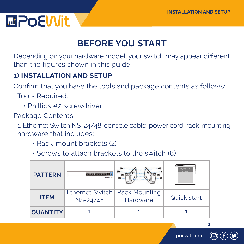### **MPOEWit**

### **BEFORE YOU START**

Depending on your hardware model, your switch may appear different than the figures shown in this guide.

#### **1) INSTALLATION AND SETUP**

Confirm that you have the tools and package contents as follows: Tools Required:

• Phillips #2 screwdriver

Package Contents:

 1. Ethernet Switch NS-24/48, console cable, power cord, rack-mounting hardware that includes:

- Rack-mount brackets (2)
- Screws to attach brackets to the switch (8)

| <b>PATTERN</b>  | consola port                                |          | <b>Publishment LED</b><br><b>Pleased Lines</b><br><b>CALLING</b> |
|-----------------|---------------------------------------------|----------|------------------------------------------------------------------|
| <b>ITEM</b>     | Ethernet Switch   Rack Mounting<br>NS-24/48 | Hardware | Quick start                                                      |
| <b>QUANTITY</b> |                                             |          |                                                                  |



**1**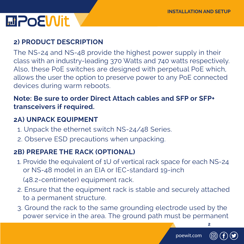### **MPOEWit**

#### **2) PRODUCT DESCRIPTION**

The NS-24 and NS-48 provide the highest power supply in their class with an industry-leading 370 Watts and 740 watts respectively. Also, these PoE switches are designed with perpetual PoE which, allows the user the option to preserve power to any PoE connected devices during warm reboots.

#### **Note: Be sure to order Direct Attach cables and SFP or SFP+ transceivers if required.**

#### **2A) UNPACK EQUIPMENT**

- 1. Unpack the ethernet switch NS-24/48 Series.
- 2. Observe ESD precautions when unpacking.

#### **2B) PREPARE THE RACK (OPTIONAL)**

- 1. Provide the equivalent of 1U of vertical rack space for each NS-24 or NS-48 model in an EIA or IEC-standard 19-inch (48.2-centimeter) equipment rack.
- 2. Ensure that the equipment rack is stable and securely attached to a permanent structure.
- 3. Ground the rack to the same grounding electrode used by the power service in the area. The ground path must be permanent

poewit.com



**2**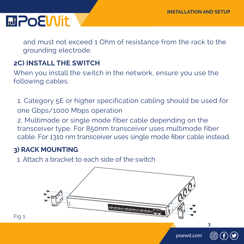**3**

### **MPoEWit**

and must not exceed 1 Ohm of resistance from the rack to the grounding electrode.

#### **2C) INSTALL THE SWITCH**

When you install the switch in the network, ensure you use the following cables:

 1. Category 5E or higher specification cabling should be used for one Gbps/1000 Mbps operation

 2. Multimode or single mode fiber cable depending on the transceiver type. For 850nm transceiver uses multimode fiber cable. For 1310 nm transceiver uses single mode fiber cable instead.

#### **3) RACK MOUNTING**

1. Attach a bracket to each side of the switch

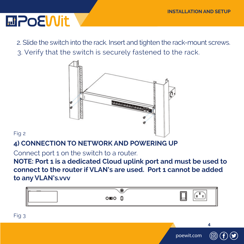### **MPOEWIt**

 2. Slide the switch into the rack. Insert and tighten the rack-mount screws. 3. Verify that the switch is securely fastened to the rack.



#### Fig 2

#### **4) CONNECTION TO NETWORK AND POWERING UP**

Connect port 1 on the switch to a router.

**NOTE: Port 1 is a dedicated Cloud uplink port and must be used to connect to the router if VLAN's are used. Port 1 cannot be added to any VLAN's.vvv**

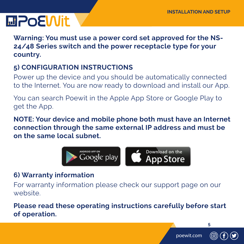## **MPOEWIt**

**Warning: You must use a power cord set approved for the NS-24/48 Series switch and the power receptacle type for your country.**

#### **5) CONFIGURATION INSTRUCTIONS**

Power up the device and you should be automatically connected to the Internet. You are now ready to download and install our App.

You can search Poewit in the Apple App Store or Google Play to get the App.

**NOTE: Your device and mobile phone both must have an Internet connection through the same external IP address and must be on the same local subnet.**



#### **6) Warranty information**

For warranty information please check our support page on our website.

**Please read these operating instructions carefully before start of operation.**





**5**